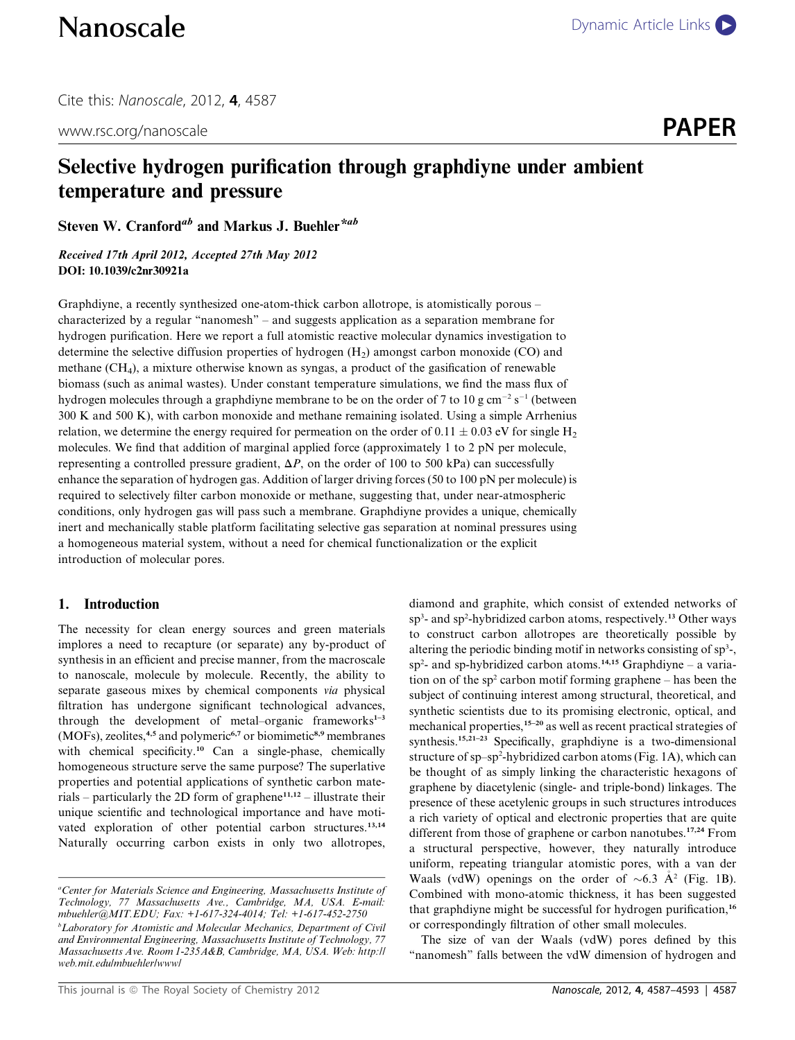Cite this: Nanoscale, 2012, 4, 4587

www.rsc.org/nanoscale **PAPER** 

# Selective hydrogen purification through graphdiyne under ambient temperature and pressure

Steven W. Cranford<sup>ab</sup> and Markus J. Buehler<sup>\*ab</sup>

Received 17th April 2012, Accepted 27th May 2012 DOI: 10.1039/c2nr30921a

Graphdiyne, a recently synthesized one-atom-thick carbon allotrope, is atomistically porous – characterized by a regular "nanomesh" – and suggests application as a separation membrane for hydrogen purification. Here we report a full atomistic reactive molecular dynamics investigation to determine the selective diffusion properties of hydrogen  $(H<sub>2</sub>)$  amongst carbon monoxide (CO) and methane (CH4), a mixture otherwise known as syngas, a product of the gasification of renewable biomass (such as animal wastes). Under constant temperature simulations, we find the mass flux of hydrogen molecules through a graphdiyne membrane to be on the order of 7 to 10 g cm<sup>-2</sup> s<sup>-1</sup> (between 300 K and 500 K), with carbon monoxide and methane remaining isolated. Using a simple Arrhenius relation, we determine the energy required for permeation on the order of 0.11  $\pm$  0.03 eV for single H<sub>2</sub> molecules. We find that addition of marginal applied force (approximately 1 to 2 pN per molecule, representing a controlled pressure gradient,  $\Delta P$ , on the order of 100 to 500 kPa) can successfully enhance the separation of hydrogen gas. Addition of larger driving forces (50 to 100 pN per molecule) is required to selectively filter carbon monoxide or methane, suggesting that, under near-atmospheric conditions, only hydrogen gas will pass such a membrane. Graphdiyne provides a unique, chemically inert and mechanically stable platform facilitating selective gas separation at nominal pressures using a homogeneous material system, without a need for chemical functionalization or the explicit introduction of molecular pores.

# 1. Introduction

The necessity for clean energy sources and green materials implores a need to recapture (or separate) any by-product of synthesis in an efficient and precise manner, from the macroscale to nanoscale, molecule by molecule. Recently, the ability to separate gaseous mixes by chemical components via physical filtration has undergone significant technological advances, through the development of metal–organic frameworks $1-3$ (MOFs), zeolites,<sup>4,5</sup> and polymeric<sup>6,7</sup> or biomimetic<sup>8,9</sup> membranes with chemical specificity.<sup>10</sup> Can a single-phase, chemically homogeneous structure serve the same purpose? The superlative properties and potential applications of synthetic carbon materials – particularly the 2D form of graphene<sup>11,12</sup> – illustrate their unique scientific and technological importance and have motivated exploration of other potential carbon structures.<sup>13,14</sup> Naturally occurring carbon exists in only two allotropes,

<sup>a</sup>Center for Materials Science and Engineering, Massachusetts Institute of Technology, 77 Massachusetts Ave., Cambridge, MA, USA. E-mail: mbuehler@MIT.EDU; Fax: +1-617-324-4014; Tel: +1-617-452-2750 <sup>b</sup>Laboratory for Atomistic and Molecular Mechanics, Department of Civil<sup>b</sup> and Environmental Engineering, Massachusetts Institute of Technology, 77 Massachusetts Ave. Room 1-235A&B, Cambridge, MA, USA. Web: http:// web.mit.edu/mbuehler/www/

sp<sup>3</sup>- and sp<sup>2</sup>-hybridized carbon atoms, respectively.<sup>13</sup> Other ways to construct carbon allotropes are theoretically possible by altering the periodic binding motif in networks consisting of sp<sup>3</sup>-,  $sp<sup>2</sup>$  and sp-hybridized carbon atoms.<sup>14,15</sup> Graphdiyne – a variation on of the  $sp^2$  carbon motif forming graphene – has been the subject of continuing interest among structural, theoretical, and synthetic scientists due to its promising electronic, optical, and mechanical properties,15–20 as well as recent practical strategies of synthesis.<sup>15,21-23</sup> Specifically, graphdiyne is a two-dimensional structure of sp-sp<sup>2</sup>-hybridized carbon atoms (Fig. 1A), which can be thought of as simply linking the characteristic hexagons of graphene by diacetylenic (single- and triple-bond) linkages. The presence of these acetylenic groups in such structures introduces a rich variety of optical and electronic properties that are quite different from those of graphene or carbon nanotubes.<sup>17,24</sup> From a structural perspective, however, they naturally introduce uniform, repeating triangular atomistic pores, with a van der Waals (vdW) openings on the order of  $\sim 6.3$  A<sup>2</sup> (Fig. 1B). Combined with mono-atomic thickness, it has been suggested that graphdiyne might be successful for hydrogen purification,<sup>16</sup> or correspondingly filtration of other small molecules.

diamond and graphite, which consist of extended networks of

The size of van der Waals (vdW) pores defined by this "nanomesh" falls between the vdW dimension of hydrogen and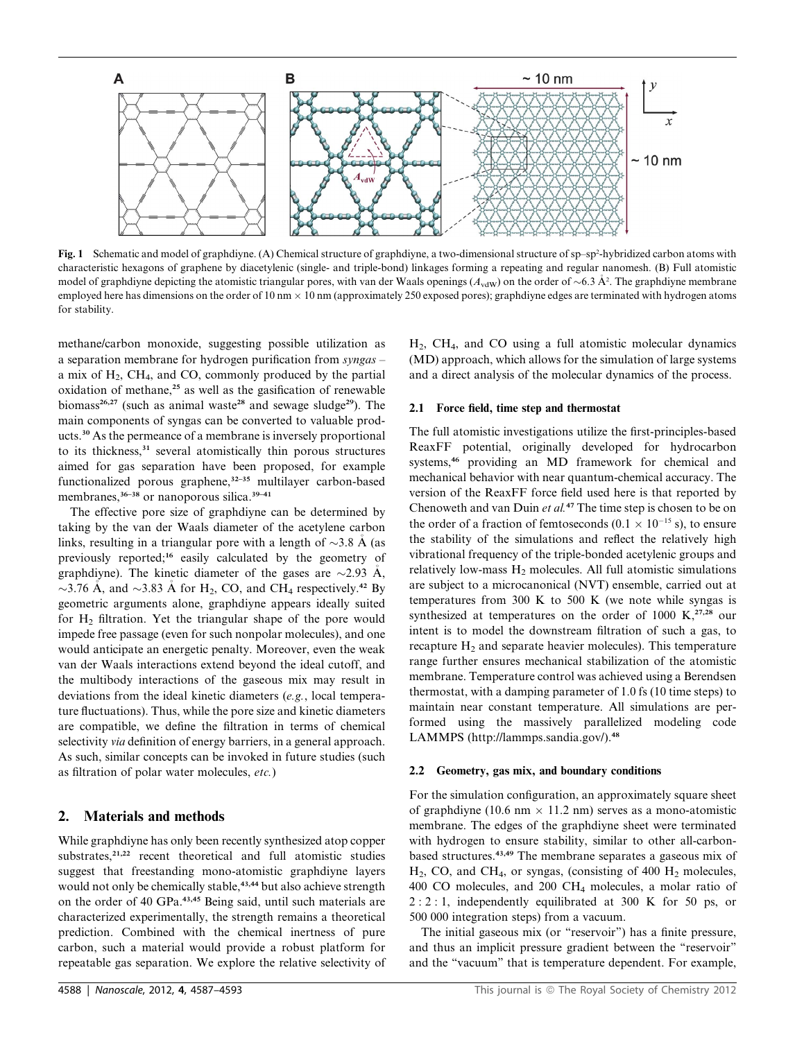

Fig. 1 Schematic and model of graphdiyne. (A) Chemical structure of graphdiyne, a two-dimensional structure of sp-sp<sup>2</sup>-hybridized carbon atoms with characteristic hexagons of graphene by diacetylenic (single- and triple-bond) linkages forming a repeating and regular nanomesh. (B) Full atomistic model of graphdiyne depicting the atomistic triangular pores, with van der Waals openings ( $A_{vdW}$ ) on the order of  $\sim$  6.3 Å<sup>2</sup>. The graphdiyne membrane employed here has dimensions on the order of 10 nm  $\times$  10 nm (approximately 250 exposed pores); graphdiyne edges are terminated with hydrogen atoms for stability.

methane/carbon monoxide, suggesting possible utilization as a separation membrane for hydrogen purification from syngas – a mix of  $H_2$ , CH<sub>4</sub>, and CO, commonly produced by the partial oxidation of methane,<sup>25</sup> as well as the gasification of renewable biomass<sup>26,27</sup> (such as animal waste<sup>28</sup> and sewage sludge<sup>29</sup>). The main components of syngas can be converted to valuable products.<sup>30</sup> As the permeance of a membrane is inversely proportional to its thickness,<sup>31</sup> several atomistically thin porous structures aimed for gas separation have been proposed, for example functionalized porous graphene,<sup>32-35</sup> multilayer carbon-based membranes,<sup>36–38</sup> or nanoporous silica.<sup>39–41</sup>

The effective pore size of graphdiyne can be determined by taking by the van der Waals diameter of the acetylene carbon links, resulting in a triangular pore with a length of  $\sim$ 3.8 A (as previously reported;<sup>16</sup> easily calculated by the geometry of graphdiyne). The kinetic diameter of the gases are  $\sim$ 2.93 Å,  $\sim$ 3.76 A, and  $\sim$ 3.83 A for H<sub>2</sub>, CO, and CH<sub>4</sub> respectively.<sup>42</sup> By geometric arguments alone, graphdiyne appears ideally suited for H<sub>2</sub> filtration. Yet the triangular shape of the pore would impede free passage (even for such nonpolar molecules), and one would anticipate an energetic penalty. Moreover, even the weak van der Waals interactions extend beyond the ideal cutoff, and the multibody interactions of the gaseous mix may result in deviations from the ideal kinetic diameters (e.g., local temperature fluctuations). Thus, while the pore size and kinetic diameters are compatible, we define the filtration in terms of chemical selectivity *via* definition of energy barriers, in a general approach. As such, similar concepts can be invoked in future studies (such as filtration of polar water molecules, etc.)

## 2. Materials and methods

While graphdiyne has only been recently synthesized atop copper substrates,<sup>21,22</sup> recent theoretical and full atomistic studies suggest that freestanding mono-atomistic graphdiyne layers would not only be chemically stable,<sup>43,44</sup> but also achieve strength on the order of 40 GPa.43,45 Being said, until such materials are characterized experimentally, the strength remains a theoretical prediction. Combined with the chemical inertness of pure carbon, such a material would provide a robust platform for repeatable gas separation. We explore the relative selectivity of

H2, CH4, and CO using a full atomistic molecular dynamics (MD) approach, which allows for the simulation of large systems and a direct analysis of the molecular dynamics of the process.

#### 2.1 Force field, time step and thermostat

The full atomistic investigations utilize the first-principles-based ReaxFF potential, originally developed for hydrocarbon systems,<sup>46</sup> providing an MD framework for chemical and mechanical behavior with near quantum-chemical accuracy. The version of the ReaxFF force field used here is that reported by Chenoweth and van Duin et al.<sup>47</sup> The time step is chosen to be on the order of a fraction of femtoseconds (0.1  $\times$  10<sup>-15</sup> s), to ensure the stability of the simulations and reflect the relatively high vibrational frequency of the triple-bonded acetylenic groups and relatively low-mass  $H_2$  molecules. All full atomistic simulations are subject to a microcanonical (NVT) ensemble, carried out at temperatures from 300 K to 500 K (we note while syngas is synthesized at temperatures on the order of 1000 K, $^{27,28}$  our intent is to model the downstream filtration of such a gas, to recapture H<sub>2</sub> and separate heavier molecules). This temperature range further ensures mechanical stabilization of the atomistic membrane. Temperature control was achieved using a Berendsen thermostat, with a damping parameter of 1.0 fs (10 time steps) to maintain near constant temperature. All simulations are performed using the massively parallelized modeling code LAMMPS (http://lammps.sandia.gov/).<sup>48</sup>

#### 2.2 Geometry, gas mix, and boundary conditions

For the simulation configuration, an approximately square sheet of graphdiyne (10.6 nm  $\times$  11.2 nm) serves as a mono-atomistic membrane. The edges of the graphdiyne sheet were terminated with hydrogen to ensure stability, similar to other all-carbonbased structures.43,49 The membrane separates a gaseous mix of  $H_2$ , CO, and CH<sub>4</sub>, or syngas, (consisting of 400  $H_2$  molecules, 400 CO molecules, and 200 CH4 molecules, a molar ratio of 2 : 2 : 1, independently equilibrated at 300 K for 50 ps, or 500 000 integration steps) from a vacuum.

The initial gaseous mix (or "reservoir") has a finite pressure, and thus an implicit pressure gradient between the ''reservoir'' and the ''vacuum'' that is temperature dependent. For example,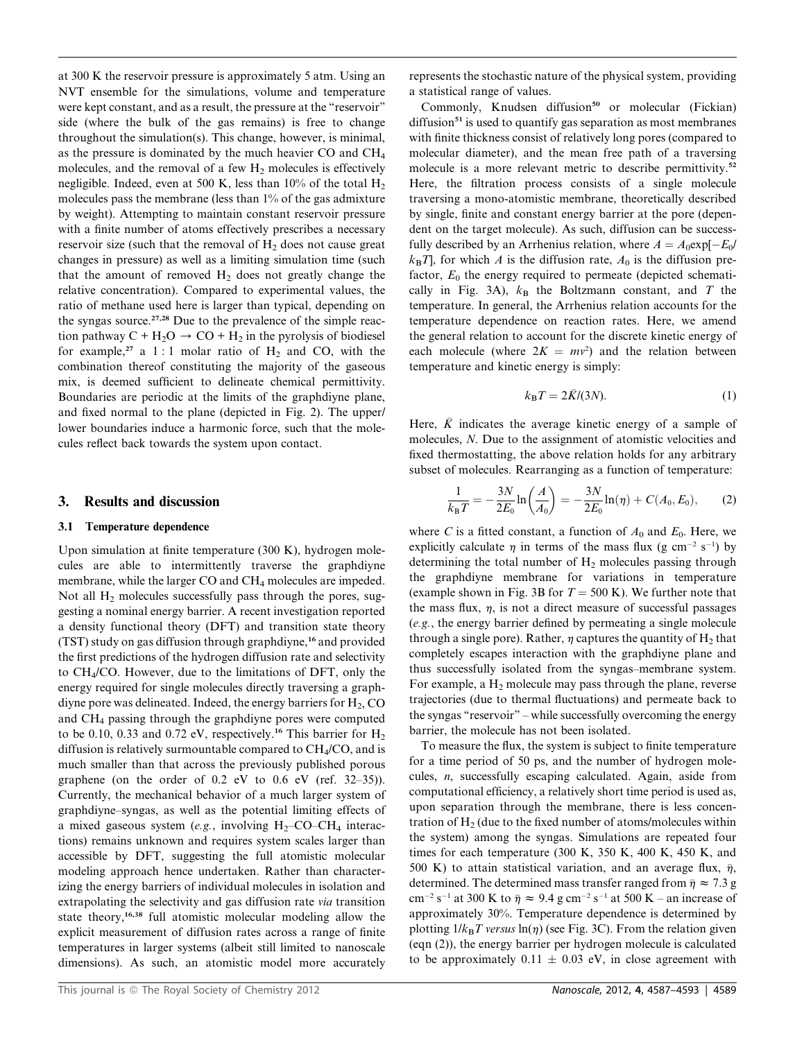at 300 K the reservoir pressure is approximately 5 atm. Using an NVT ensemble for the simulations, volume and temperature were kept constant, and as a result, the pressure at the "reservoir" side (where the bulk of the gas remains) is free to change throughout the simulation(s). This change, however, is minimal, as the pressure is dominated by the much heavier CO and  $CH<sub>4</sub>$ molecules, and the removal of a few  $H_2$  molecules is effectively negligible. Indeed, even at 500 K, less than  $10\%$  of the total  $H_2$ molecules pass the membrane (less than 1% of the gas admixture by weight). Attempting to maintain constant reservoir pressure with a finite number of atoms effectively prescribes a necessary reservoir size (such that the removal of  $H_2$  does not cause great changes in pressure) as well as a limiting simulation time (such that the amount of removed  $H_2$  does not greatly change the relative concentration). Compared to experimental values, the ratio of methane used here is larger than typical, depending on the syngas source. $27,28$  Due to the prevalence of the simple reaction pathway  $C + H_2O \rightarrow CO + H_2$  in the pyrolysis of biodiesel for example,<sup>27</sup> a 1 : 1 molar ratio of  $H_2$  and CO, with the combination thereof constituting the majority of the gaseous mix, is deemed sufficient to delineate chemical permittivity. Boundaries are periodic at the limits of the graphdiyne plane, and fixed normal to the plane (depicted in Fig. 2). The upper/ lower boundaries induce a harmonic force, such that the molecules reflect back towards the system upon contact.

## 3. Results and discussion

#### 3.1 Temperature dependence

Upon simulation at finite temperature (300 K), hydrogen molecules are able to intermittently traverse the graphdiyne membrane, while the larger CO and CH4 molecules are impeded. Not all  $H_2$  molecules successfully pass through the pores, suggesting a nominal energy barrier. A recent investigation reported a density functional theory (DFT) and transition state theory (TST) study on gas diffusion through graphdiyne,<sup>16</sup> and provided the first predictions of the hydrogen diffusion rate and selectivity to CH4/CO. However, due to the limitations of DFT, only the energy required for single molecules directly traversing a graphdiyne pore was delineated. Indeed, the energy barriers for  $H_2$ , CO and CH4 passing through the graphdiyne pores were computed to be 0.10, 0.33 and 0.72 eV, respectively.<sup>16</sup> This barrier for  $H_2$ diffusion is relatively surmountable compared to  $CH<sub>4</sub>/CO$ , and is much smaller than that across the previously published porous graphene (on the order of 0.2 eV to 0.6 eV (ref. 32–35)). Currently, the mechanical behavior of a much larger system of graphdiyne–syngas, as well as the potential limiting effects of a mixed gaseous system (e.g., involving  $H_2$ –CO–C $H_4$  interactions) remains unknown and requires system scales larger than accessible by DFT, suggesting the full atomistic molecular modeling approach hence undertaken. Rather than characterizing the energy barriers of individual molecules in isolation and extrapolating the selectivity and gas diffusion rate via transition state theory,<sup>16,38</sup> full atomistic molecular modeling allow the explicit measurement of diffusion rates across a range of finite temperatures in larger systems (albeit still limited to nanoscale dimensions). As such, an atomistic model more accurately

represents the stochastic nature of the physical system, providing a statistical range of values.

Commonly, Knudsen diffusion<sup>50</sup> or molecular (Fickian) diffusion<sup>51</sup> is used to quantify gas separation as most membranes with finite thickness consist of relatively long pores (compared to molecular diameter), and the mean free path of a traversing molecule is a more relevant metric to describe permittivity.<sup>52</sup> Here, the filtration process consists of a single molecule traversing a mono-atomistic membrane, theoretically described by single, finite and constant energy barrier at the pore (dependent on the target molecule). As such, diffusion can be successfully described by an Arrhenius relation, where  $A = A_0 \exp[-E_0/\sqrt{E_0}$  $k_{\text{B}}T$ , for which A is the diffusion rate,  $A_0$  is the diffusion prefactor,  $E_0$  the energy required to permeate (depicted schematically in Fig. 3A),  $k_B$  the Boltzmann constant, and T the temperature. In general, the Arrhenius relation accounts for the temperature dependence on reaction rates. Here, we amend the general relation to account for the discrete kinetic energy of each molecule (where  $2K = mv^2$ ) and the relation between temperature and kinetic energy is simply:

$$
k_{\rm B}T = 2\bar{K}/(3N). \tag{1}
$$

Here,  $\overline{K}$  indicates the average kinetic energy of a sample of molecules, N. Due to the assignment of atomistic velocities and fixed thermostatting, the above relation holds for any arbitrary subset of molecules. Rearranging as a function of temperature:

$$
\frac{1}{k_{\rm B}T} = -\frac{3N}{2E_0} \ln\left(\frac{A}{A_0}\right) = -\frac{3N}{2E_0} \ln(\eta) + C(A_0, E_0),\tag{2}
$$

where C is a fitted constant, a function of  $A_0$  and  $E_0$ . Here, we explicitly calculate  $\eta$  in terms of the mass flux (g cm<sup>-2</sup> s<sup>-1</sup>) by determining the total number of  $H_2$  molecules passing through the graphdiyne membrane for variations in temperature (example shown in Fig. 3B for  $T = 500$  K). We further note that the mass flux,  $\eta$ , is not a direct measure of successful passages (e.g., the energy barrier defined by permeating a single molecule through a single pore). Rather,  $\eta$  captures the quantity of H<sub>2</sub> that completely escapes interaction with the graphdiyne plane and thus successfully isolated from the syngas–membrane system. For example, a  $H_2$  molecule may pass through the plane, reverse trajectories (due to thermal fluctuations) and permeate back to the syngas "reservoir" – while successfully overcoming the energy barrier, the molecule has not been isolated.

To measure the flux, the system is subject to finite temperature for a time period of 50 ps, and the number of hydrogen molecules, n, successfully escaping calculated. Again, aside from computational efficiency, a relatively short time period is used as, upon separation through the membrane, there is less concentration of  $H<sub>2</sub>$  (due to the fixed number of atoms/molecules within the system) among the syngas. Simulations are repeated four times for each temperature (300 K, 350 K, 400 K, 450 K, and 500 K) to attain statistical variation, and an average flux,  $\bar{\eta}$ , determined. The determined mass transfer ranged from  $\bar{\eta} \approx 7.3$  g cm<sup>-2</sup> s<sup>-1</sup> at 300 K to  $\bar{\eta} \approx 9.4$  g cm<sup>-2</sup> s<sup>-1</sup> at 500 K – an increase of approximately 30%. Temperature dependence is determined by plotting  $1/k_BT$  versus  $\ln(\eta)$  (see Fig. 3C). From the relation given (eqn (2)), the energy barrier per hydrogen molecule is calculated to be approximately  $0.11 \pm 0.03$  eV, in close agreement with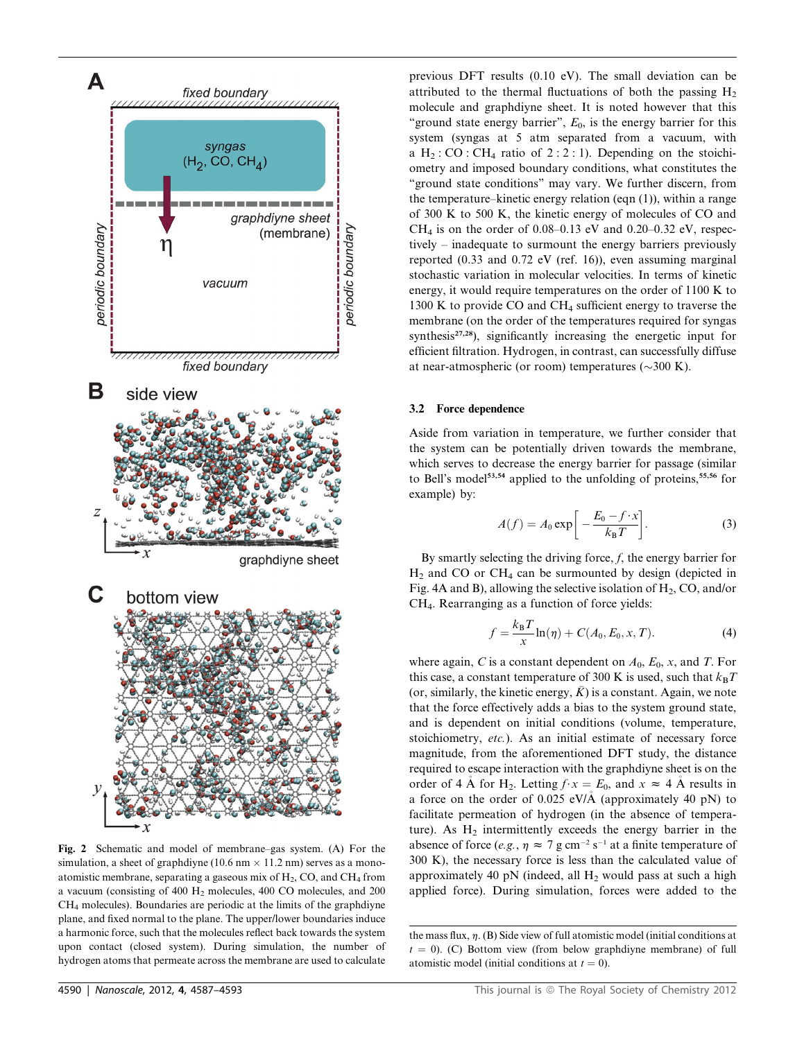

Fig. 2 Schematic and model of membrane–gas system. (A) For the simulation, a sheet of graphdiyne (10.6 nm  $\times$  11.2 nm) serves as a monoatomistic membrane, separating a gaseous mix of  $H_2$ , CO, and CH<sub>4</sub> from a vacuum (consisting of 400 H<sub>2</sub> molecules, 400 CO molecules, and 200 CH4 molecules). Boundaries are periodic at the limits of the graphdiyne plane, and fixed normal to the plane. The upper/lower boundaries induce a harmonic force, such that the molecules reflect back towards the system upon contact (closed system). During simulation, the number of hydrogen atoms that permeate across the membrane are used to calculate

previous DFT results (0.10 eV). The small deviation can be attributed to the thermal fluctuations of both the passing  $H_2$ molecule and graphdiyne sheet. It is noted however that this "ground state energy barrier",  $E_0$ , is the energy barrier for this system (syngas at 5 atm separated from a vacuum, with a  $H_2$ : CO : CH<sub>4</sub> ratio of 2 : 2 : 1). Depending on the stoichiometry and imposed boundary conditions, what constitutes the ''ground state conditions'' may vary. We further discern, from the temperature–kinetic energy relation (eqn (1)), within a range of 300 K to 500 K, the kinetic energy of molecules of CO and CH<sub>4</sub> is on the order of 0.08–0.13 eV and 0.20–0.32 eV, respectively – inadequate to surmount the energy barriers previously reported (0.33 and 0.72 eV (ref. 16)), even assuming marginal stochastic variation in molecular velocities. In terms of kinetic energy, it would require temperatures on the order of 1100 K to 1300 K to provide CO and CH4 sufficient energy to traverse the membrane (on the order of the temperatures required for syngas synthesis $27,28$ ), significantly increasing the energetic input for efficient filtration. Hydrogen, in contrast, can successfully diffuse at near-atmospheric (or room) temperatures ( $\sim$ 300 K).

#### 3.2 Force dependence

Aside from variation in temperature, we further consider that the system can be potentially driven towards the membrane, which serves to decrease the energy barrier for passage (similar to Bell's model<sup>53,54</sup> applied to the unfolding of proteins,<sup>55,56</sup> for example) by:

$$
A(f) = A_0 \exp\bigg[-\frac{E_0 - f \cdot x}{k_B T}\bigg].
$$
 (3)

By smartly selecting the driving force,  $f$ , the energy barrier for  $H_2$  and CO or CH<sub>4</sub> can be surmounted by design (depicted in Fig. 4A and B), allowing the selective isolation of  $H_2$ , CO, and/or CH4. Rearranging as a function of force yields:

$$
f = \frac{k_{\rm B}T}{x}\ln(\eta) + C(A_0, E_0, x, T). \tag{4}
$$

where again, C is a constant dependent on  $A_0$ ,  $E_0$ , x, and T. For this case, a constant temperature of 300 K is used, such that  $k_BT$ (or, similarly, the kinetic energy,  $K$ ) is a constant. Again, we note that the force effectively adds a bias to the system ground state, and is dependent on initial conditions (volume, temperature, stoichiometry, etc.). As an initial estimate of necessary force magnitude, from the aforementioned DFT study, the distance required to escape interaction with the graphdiyne sheet is on the order of 4 Å for H<sub>2</sub>. Letting  $f \cdot x = E_0$ , and  $x \approx 4$  Å results in a force on the order of 0.025 eV/A (approximately 40 pN) to facilitate permeation of hydrogen (in the absence of temperature). As  $H_2$  intermittently exceeds the energy barrier in the absence of force (e.g.,  $\eta \approx 7$  g cm<sup>-2</sup> s<sup>-1</sup> at a finite temperature of 300 K), the necessary force is less than the calculated value of approximately 40 pN (indeed, all  $H_2$  would pass at such a high applied force). During simulation, forces were added to the

the mass flux,  $\eta$ . (B) Side view of full atomistic model (initial conditions at  $t = 0$ ). (C) Bottom view (from below graphdiyne membrane) of full atomistic model (initial conditions at  $t = 0$ ).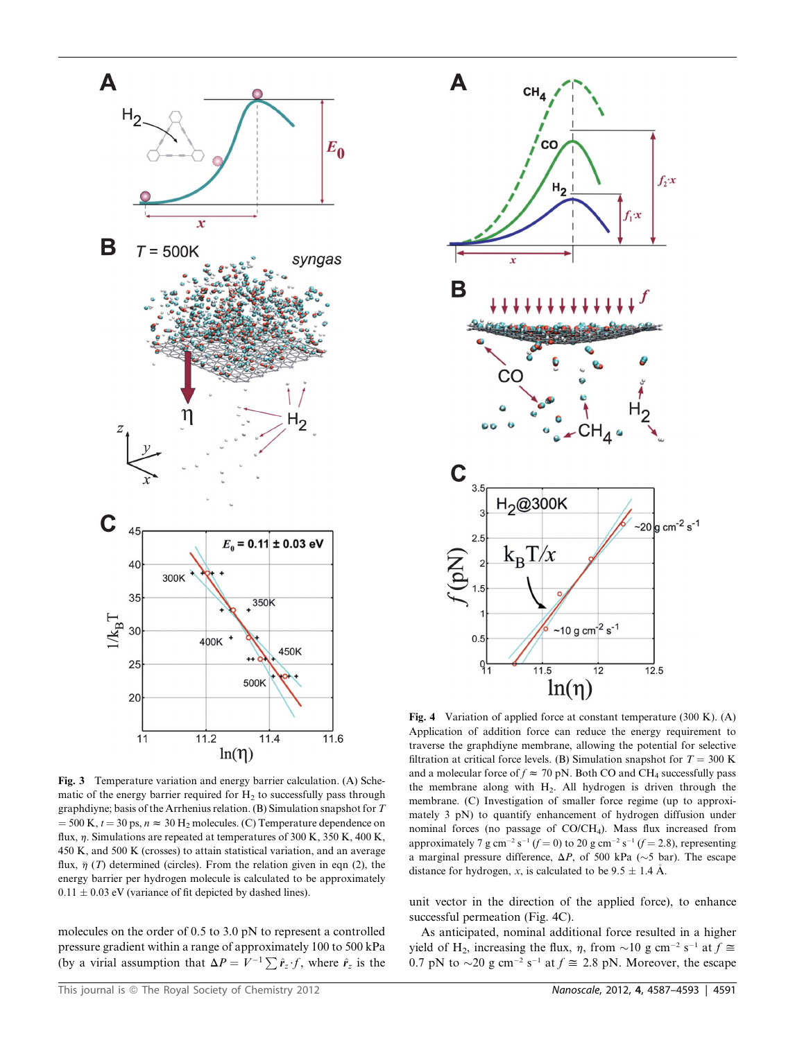

Fig. 3 Temperature variation and energy barrier calculation. (A) Schematic of the energy barrier required for  $H_2$  to successfully pass through graphdiyne; basis of the Arrhenius relation. (B) Simulation snapshot for T  $=$  500 K,  $t = 30$  ps,  $n \approx 30$  H<sub>2</sub> molecules. (C) Temperature dependence on flux,  $\eta$ . Simulations are repeated at temperatures of 300 K, 350 K, 400 K, 450 K, and 500 K (crosses) to attain statistical variation, and an average flux,  $\bar{\eta}$  (T) determined (circles). From the relation given in eqn (2), the energy barrier per hydrogen molecule is calculated to be approximately  $0.11 \pm 0.03$  eV (variance of fit depicted by dashed lines).

molecules on the order of 0.5 to 3.0 pN to represent a controlled pressure gradient within a range of approximately 100 to 500 kPa (by a virial assumption that  $\Delta P = V^{-1} \sum \hat{r}_z f$ , where  $\hat{r}_z$  is the



Fig. 4 Variation of applied force at constant temperature (300 K). (A) Application of addition force can reduce the energy requirement to traverse the graphdiyne membrane, allowing the potential for selective filtration at critical force levels. (B) Simulation snapshot for  $T = 300$  K and a molecular force of  $f \approx 70$  pN. Both CO and CH<sub>4</sub> successfully pass the membrane along with  $H_2$ . All hydrogen is driven through the membrane. (C) Investigation of smaller force regime (up to approximately 3 pN) to quantify enhancement of hydrogen diffusion under nominal forces (no passage of CO/CH4). Mass flux increased from approximately 7 g cm<sup>-2</sup> s<sup>-1</sup> (f = 0) to 20 g cm<sup>-2</sup> s<sup>-1</sup> (f = 2.8), representing a marginal pressure difference,  $\Delta P$ , of 500 kPa ( $\sim$ 5 bar). The escape distance for hydrogen, x, is calculated to be  $9.5 \pm 1.4$  Å.

unit vector in the direction of the applied force), to enhance successful permeation (Fig. 4C).

As anticipated, nominal additional force resulted in a higher yield of H<sub>2</sub>, increasing the flux,  $\eta$ , from  $\sim$ 10 g cm<sup>-2</sup> s<sup>-1</sup> at  $f \approx$ 0.7 pN to  $\sim$ 20 g cm<sup>-2</sup> s<sup>-1</sup> at  $f \approx$  2.8 pN. Moreover, the escape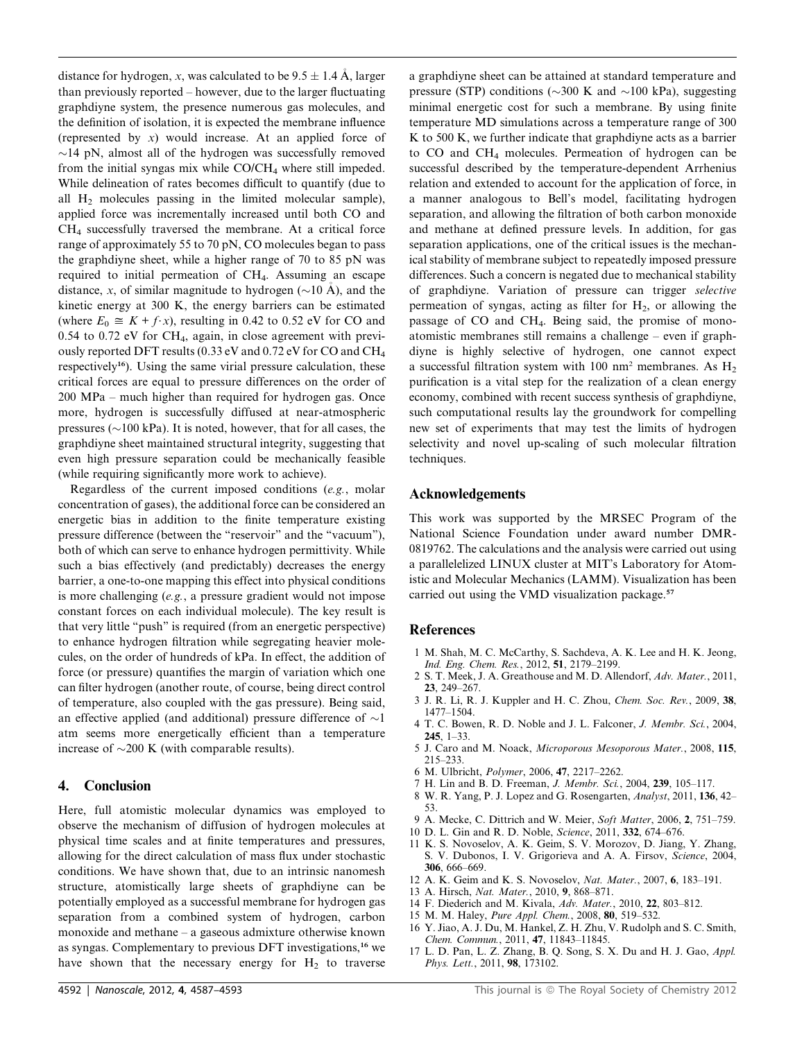distance for hydrogen, x, was calculated to be  $9.5 \pm 1.4$  Å, larger than previously reported – however, due to the larger fluctuating graphdiyne system, the presence numerous gas molecules, and the definition of isolation, it is expected the membrane influence (represented by  $x$ ) would increase. At an applied force of  $\sim$ 14 pN, almost all of the hydrogen was successfully removed from the initial syngas mix while  $CO/CH<sub>4</sub>$  where still impeded. While delineation of rates becomes difficult to quantify (due to all H2 molecules passing in the limited molecular sample), applied force was incrementally increased until both CO and CH4 successfully traversed the membrane. At a critical force range of approximately 55 to 70 pN, CO molecules began to pass the graphdiyne sheet, while a higher range of 70 to 85 pN was required to initial permeation of CH4. Assuming an escape distance, x, of similar magnitude to hydrogen  $(\sim 10 \text{ A})$ , and the kinetic energy at 300 K, the energy barriers can be estimated (where  $E_0 \cong K + f \cdot x$ ), resulting in 0.42 to 0.52 eV for CO and 0.54 to 0.72 eV for CH4, again, in close agreement with previously reported DFT results (0.33 eV and 0.72 eV for CO and CH4 respectively<sup>16</sup>). Using the same virial pressure calculation, these critical forces are equal to pressure differences on the order of 200 MPa – much higher than required for hydrogen gas. Once more, hydrogen is successfully diffused at near-atmospheric pressures ( $\sim$ 100 kPa). It is noted, however, that for all cases, the graphdiyne sheet maintained structural integrity, suggesting that even high pressure separation could be mechanically feasible (while requiring significantly more work to achieve).

Regardless of the current imposed conditions (e.g., molar concentration of gases), the additional force can be considered an energetic bias in addition to the finite temperature existing pressure difference (between the ''reservoir'' and the ''vacuum''), both of which can serve to enhance hydrogen permittivity. While such a bias effectively (and predictably) decreases the energy barrier, a one-to-one mapping this effect into physical conditions is more challenging (e.g., a pressure gradient would not impose constant forces on each individual molecule). The key result is that very little ''push'' is required (from an energetic perspective) to enhance hydrogen filtration while segregating heavier molecules, on the order of hundreds of kPa. In effect, the addition of force (or pressure) quantifies the margin of variation which one can filter hydrogen (another route, of course, being direct control of temperature, also coupled with the gas pressure). Being said, an effective applied (and additional) pressure difference of  $\sim$ 1 atm seems more energetically efficient than a temperature increase of  $\sim$ 200 K (with comparable results).

#### 4. Conclusion

Here, full atomistic molecular dynamics was employed to observe the mechanism of diffusion of hydrogen molecules at physical time scales and at finite temperatures and pressures, allowing for the direct calculation of mass flux under stochastic conditions. We have shown that, due to an intrinsic nanomesh structure, atomistically large sheets of graphdiyne can be potentially employed as a successful membrane for hydrogen gas separation from a combined system of hydrogen, carbon monoxide and methane – a gaseous admixture otherwise known as syngas. Complementary to previous DFT investigations,<sup>16</sup> we have shown that the necessary energy for  $H_2$  to traverse

a graphdiyne sheet can be attained at standard temperature and pressure (STP) conditions ( $\sim$ 300 K and  $\sim$ 100 kPa), suggesting minimal energetic cost for such a membrane. By using finite temperature MD simulations across a temperature range of 300 K to 500 K, we further indicate that graphdiyne acts as a barrier to CO and CH4 molecules. Permeation of hydrogen can be successful described by the temperature-dependent Arrhenius relation and extended to account for the application of force, in a manner analogous to Bell's model, facilitating hydrogen separation, and allowing the filtration of both carbon monoxide and methane at defined pressure levels. In addition, for gas separation applications, one of the critical issues is the mechanical stability of membrane subject to repeatedly imposed pressure differences. Such a concern is negated due to mechanical stability of graphdiyne. Variation of pressure can trigger selective permeation of syngas, acting as filter for  $H_2$ , or allowing the passage of CO and CH4. Being said, the promise of monoatomistic membranes still remains a challenge – even if graphdiyne is highly selective of hydrogen, one cannot expect a successful filtration system with  $100 \text{ nm}^2$  membranes. As  $H_2$ purification is a vital step for the realization of a clean energy economy, combined with recent success synthesis of graphdiyne, such computational results lay the groundwork for compelling new set of experiments that may test the limits of hydrogen selectivity and novel up-scaling of such molecular filtration techniques.

#### Acknowledgements

This work was supported by the MRSEC Program of the National Science Foundation under award number DMR-0819762. The calculations and the analysis were carried out using a parallelelized LINUX cluster at MIT's Laboratory for Atomistic and Molecular Mechanics (LAMM). Visualization has been carried out using the VMD visualization package.<sup>57</sup>

#### References

- 1 M. Shah, M. C. McCarthy, S. Sachdeva, A. K. Lee and H. K. Jeong, Ind. Eng. Chem. Res., 2012, 51, 2179–2199.
- 2 S. T. Meek, J. A. Greathouse and M. D. Allendorf, Adv. Mater., 2011, 23, 249–267.
- 3 J. R. Li, R. J. Kuppler and H. C. Zhou, Chem. Soc. Rev., 2009, 38, 1477–1504.
- 4 T. C. Bowen, R. D. Noble and J. L. Falconer, J. Membr. Sci., 2004, 245, 1–33.
- 5 J. Caro and M. Noack, Microporous Mesoporous Mater., 2008, 115, 215–233.
- 6 M. Ulbricht, Polymer, 2006, 47, 2217–2262.
- 7 H. Lin and B. D. Freeman, J. Membr. Sci., 2004, 239, 105–117.
- 8 W. R. Yang, P. J. Lopez and G. Rosengarten, Analyst, 2011, 136, 42– 53.
- 9 A. Mecke, C. Dittrich and W. Meier, Soft Matter, 2006, 2, 751–759.
- 10 D. L. Gin and R. D. Noble, Science, 2011, 332, 674–676.
- 11 K. S. Novoselov, A. K. Geim, S. V. Morozov, D. Jiang, Y. Zhang, S. V. Dubonos, I. V. Grigorieva and A. A. Firsov, Science, 2004, 306, 666–669.
- 12 A. K. Geim and K. S. Novoselov, Nat. Mater., 2007, 6, 183–191.
- 13 A. Hirsch, Nat. Mater., 2010, 9, 868–871.
- 14 F. Diederich and M. Kivala, Adv. Mater., 2010, 22, 803–812.
- 15 M. M. Haley, Pure Appl. Chem., 2008, 80, 519–532.
- 16 Y. Jiao, A. J. Du, M. Hankel, Z. H. Zhu, V. Rudolph and S. C. Smith, Chem. Commun., 2011, 47, 11843–11845.
- 17 L. D. Pan, L. Z. Zhang, B. Q. Song, S. X. Du and H. J. Gao, Appl. Phys. Lett., 2011, 98, 173102.